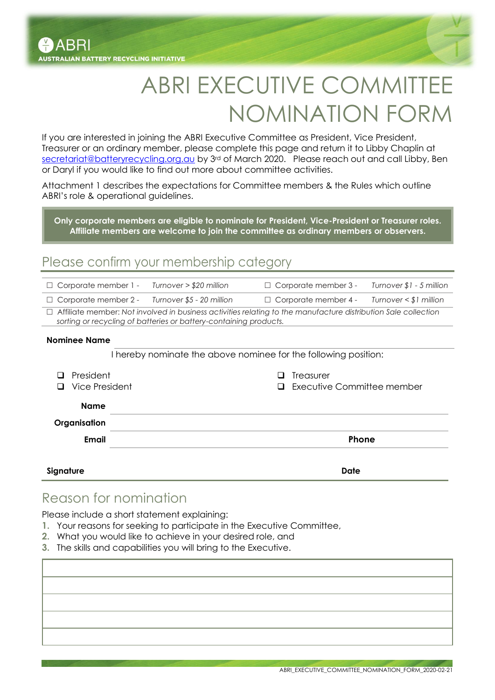### ABRI EXECUTIVE COMMITTEE NOMINATION FORM

If you are interested in joining the ABRI Executive Committee as President, Vice President, Treasurer or an ordinary member, please complete this page and return it to Libby Chaplin at [secretariat@batteryrecycling.org.au](mailto:secretariat@batteryrecycling.org.au) by 3rd of March 2020. Please reach out and call Libby, Ben or Daryl if you would like to find out more about committee activities.

Attachment 1 describes the expectations for Committee members & the Rules which outline ABRI's role & operational guidelines.

**Only corporate members are eligible to nominate for President, Vice-President or Treasurer roles. Affiliate members are welcome to join the committee as ordinary members or observers.**

### Please confirm your membership category

| Corporate member 1 -                                                                                                                                                                           |  | Turnover $> $20$ million  |  | Corporate member 3 -                    | Turnover \$1 - 5 million |  |
|------------------------------------------------------------------------------------------------------------------------------------------------------------------------------------------------|--|---------------------------|--|-----------------------------------------|--------------------------|--|
| Corporate member 2 -                                                                                                                                                                           |  | Turnover \$5 - 20 million |  | $\Box$ Corporate member 4 -             | Turnover < \$1 million   |  |
| Affiliate member: Not involved in business activities relating to the manufacture distribution Sale collection<br>$\perp$<br>sorting or recycling of batteries or battery-containing products. |  |                           |  |                                         |                          |  |
| <b>Nominee Name</b>                                                                                                                                                                            |  |                           |  |                                         |                          |  |
| I hereby nominate the above nominee for the following position:                                                                                                                                |  |                           |  |                                         |                          |  |
| President<br>Vice President                                                                                                                                                                    |  |                           |  | Treasurer<br>Executive Committee member |                          |  |
| <b>Name</b>                                                                                                                                                                                    |  |                           |  |                                         |                          |  |
| Organisation                                                                                                                                                                                   |  |                           |  |                                         |                          |  |
| Email                                                                                                                                                                                          |  |                           |  | Phone                                   |                          |  |
| Signature                                                                                                                                                                                      |  |                           |  | Date                                    |                          |  |

### Reason for nomination

Please include a short statement explaining:

- **1.** Your reasons for seeking to participate in the Executive Committee,
- **2.** What you would like to achieve in your desired role, and
- **3.** The skills and capabilities you will bring to the Executive.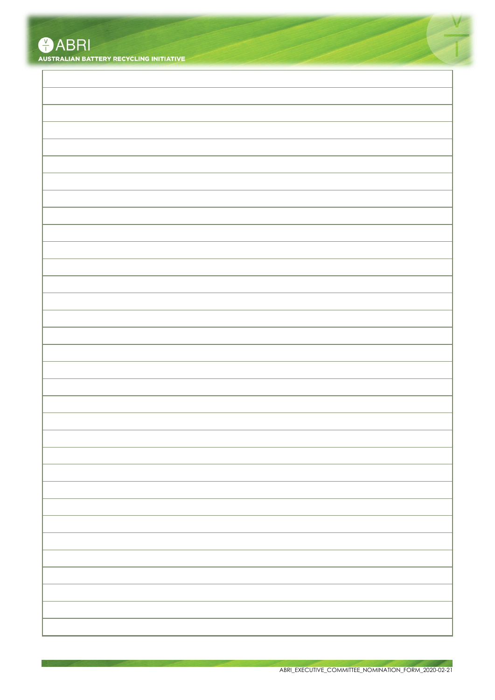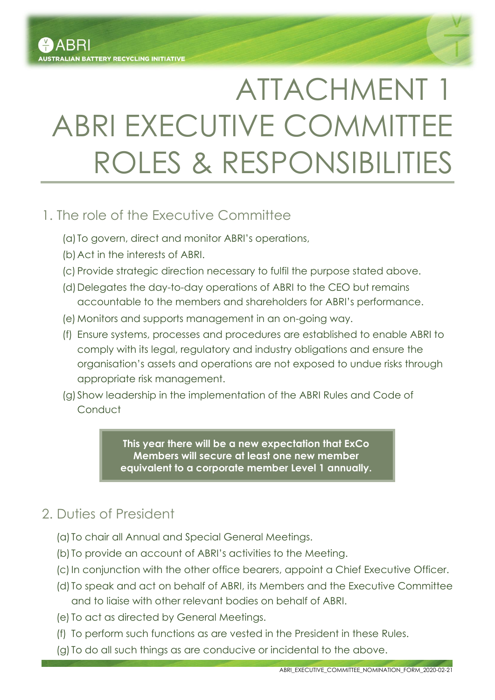# ATTACHMENT 1 ABRI EXECUTIVE COMMITTEE ROLES & RESPONSIBILITIES

### 1. The role of the Executive Committee

- (a) To govern, direct and monitor ABRI's operations,
- (b)Act in the interests of ABRI.
- (c) Provide strategic direction necessary to fulfil the purpose stated above.
- (d) Delegates the day-to-day operations of ABRI to the CEO but remains accountable to the members and shareholders for ABRI's performance.
- (e) Monitors and supports management in an on-going way.
- (f) Ensure systems, processes and procedures are established to enable ABRI to comply with its legal, regulatory and industry obligations and ensure the organisation's assets and operations are not exposed to undue risks through appropriate risk management.
- (g) Show leadership in the implementation of the ABRI Rules and Code of **Conduct**

**This year there will be a new expectation that ExCo Members will secure at least one new member equivalent to a corporate member Level 1 annually.**

### 2. Duties of President

- (a) To chair all Annual and Special General Meetings.
- (b) To provide an account of ABRI's activities to the Meeting.
- (c) In conjunction with the other office bearers, appoint a Chief Executive Officer.
- (d) To speak and act on behalf of ABRI, its Members and the Executive Committee and to liaise with other relevant bodies on behalf of ABRI.
- (e) To act as directed by General Meetings.
- (f) To perform such functions as are vested in the President in these Rules.
- (g) To do all such things as are conducive or incidental to the above.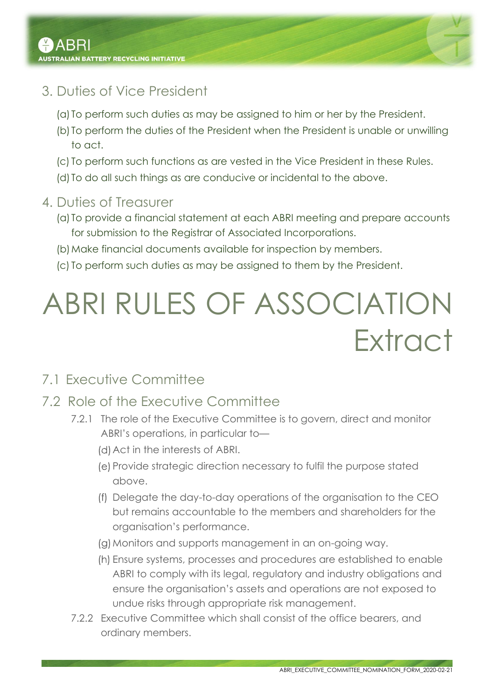### 3. Duties of Vice President

- (a) To perform such duties as may be assigned to him or her by the President.
- (b) To perform the duties of the President when the President is unable or unwilling to act.
- (c) To perform such functions as are vested in the Vice President in these Rules.
- (d) To do all such things as are conducive or incidental to the above.

### 4. Duties of Treasurer

- (a) To provide a financial statement at each ABRI meeting and prepare accounts for submission to the Registrar of Associated Incorporations.
- (b)Make financial documents available for inspection by members.
- (c) To perform such duties as may be assigned to them by the President.

## ABRI RULES OF ASSOCIATION *Extract*

### 7.1 Executive Committee

- 7.2 Role of the Executive Committee
	- 7.2.1 The role of the Executive Committee is to govern, direct and monitor ABRI's operations, in particular to—
		- (d) Act in the interests of ABRI.
		- (e) Provide strategic direction necessary to fulfil the purpose stated above.
		- Delegate the day-to-day operations of the organisation to the CEO but remains accountable to the members and shareholders for the organisation's performance.
		- Monitors and supports management in an on-going way.
		- Ensure systems, processes and procedures are established to enable ABRI to comply with its legal, regulatory and industry obligations and ensure the organisation's assets and operations are not exposed to undue risks through appropriate risk management.
	- 7.2.2 Executive Committee which shall consist of the office bearers, and ordinary members.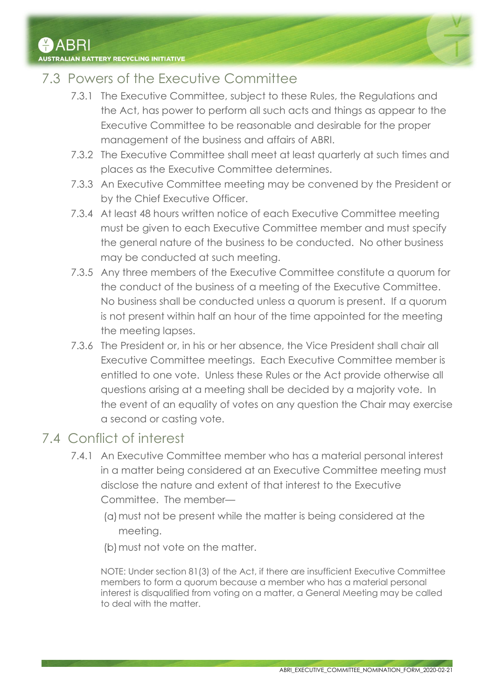### 7.3 Powers of the Executive Committee

- 7.3.1 The Executive Committee, subject to these Rules, the Regulations and the Act, has power to perform all such acts and things as appear to the Executive Committee to be reasonable and desirable for the proper management of the business and affairs of ABRI.
- 7.3.2 The Executive Committee shall meet at least quarterly at such times and places as the Executive Committee determines.
- 7.3.3 An Executive Committee meeting may be convened by the President or by the Chief Executive Officer.
- 7.3.4 At least 48 hours written notice of each Executive Committee meeting must be given to each Executive Committee member and must specify the general nature of the business to be conducted. No other business may be conducted at such meeting.
- 7.3.5 Any three members of the Executive Committee constitute a quorum for the conduct of the business of a meeting of the Executive Committee. No business shall be conducted unless a quorum is present. If a quorum is not present within half an hour of the time appointed for the meeting the meeting lapses.
- 7.3.6 The President or, in his or her absence, the Vice President shall chair all Executive Committee meetings. Each Executive Committee member is entitled to one vote. Unless these Rules or the Act provide otherwise all questions arising at a meeting shall be decided by a majority vote. In the event of an equality of votes on any question the Chair may exercise a second or casting vote.

### 7.4 Conflict of interest

- 7.4.1 An Executive Committee member who has a material personal interest in a matter being considered at an Executive Committee meeting must disclose the nature and extent of that interest to the Executive Committee. The member—
	- (a) must not be present while the matter is being considered at the meeting.
	- (b) must not vote on the matter.

NOTE: Under section 81(3) of the Act, if there are insufficient Executive Committee members to form a quorum because a member who has a material personal interest is disqualified from voting on a matter, a General Meeting may be called to deal with the matter.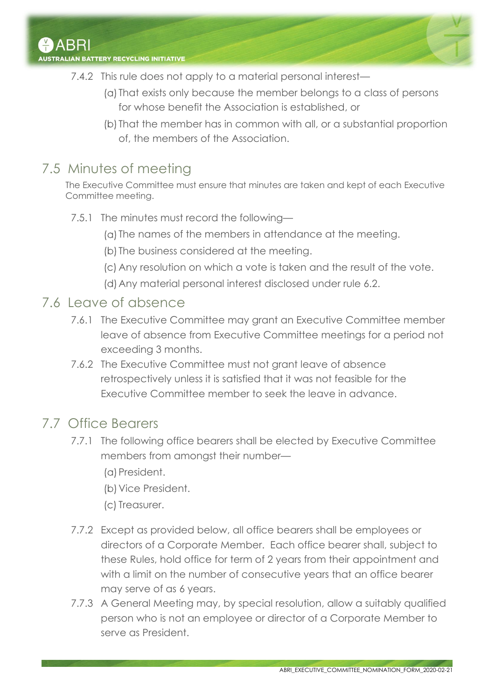- 7.4.2 This rule does not apply to a material personal interest—
	- (a) That exists only because the member belongs to a class of persons for whose benefit the Association is established, or
	- That the member has in common with all, or a substantial proportion of, the members of the Association.

### 7.5 Minutes of meeting

The Executive Committee must ensure that minutes are taken and kept of each Executive Committee meeting.

- 7.5.1 The minutes must record the following—
	- (a) The names of the members in attendance at the meeting.
	- (b) The business considered at the meeting.
	- (c) Any resolution on which a vote is taken and the result of the vote.
	- Any material personal interest disclosed under rule 6.2.

#### 7.6 Leave of absence

- 7.6.1 The Executive Committee may grant an Executive Committee member leave of absence from Executive Committee meetings for a period not exceeding 3 months.
- 7.6.2 The Executive Committee must not grant leave of absence retrospectively unless it is satisfied that it was not feasible for the Executive Committee member to seek the leave in advance.

### 7.7 Office Bearers

- 7.7.1 The following office bearers shall be elected by Executive Committee members from amongst their number—
	- (a) President.
	- (b) Vice President.
	- (c) Treasurer.
- 7.7.2 Except as provided below, all office bearers shall be employees or directors of a Corporate Member. Each office bearer shall, subject to these Rules, hold office for term of 2 years from their appointment and with a limit on the number of consecutive years that an office bearer may serve of as 6 years.
- 7.7.3 A General Meeting may, by special resolution, allow a suitably qualified person who is not an employee or director of a Corporate Member to serve as President.